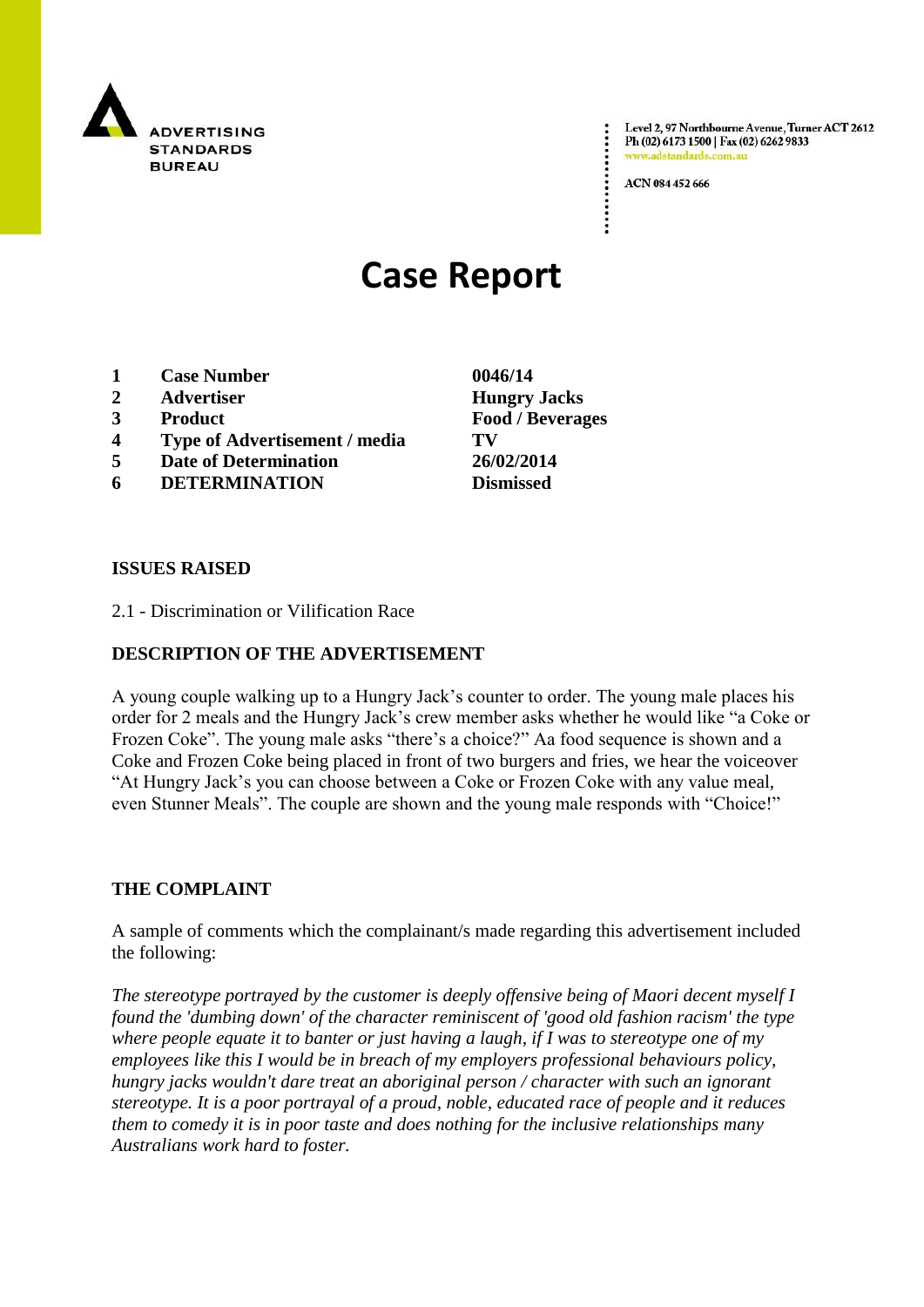

Level 2, 97 Northbourne Avenue, Turner ACT 2612 Ph (02) 6173 1500 | Fax (02) 6262 9833 www.adstandards.com.a

ACN 084 452 666

# **Case Report**

- **1 Case Number 0046/14**
- **2 Advertiser Hungry Jacks**
- **3 Product Food / Beverages**
- **4 Type of Advertisement / media TV**
- **5 Date of Determination 26/02/2014**
- **6 DETERMINATION Dismissed**

**ISSUES RAISED**

2.1 - Discrimination or Vilification Race

## **DESCRIPTION OF THE ADVERTISEMENT**

A young couple walking up to a Hungry Jack"s counter to order. The young male places his order for 2 meals and the Hungry Jack"s crew member asks whether he would like "a Coke or Frozen Coke". The young male asks "there"s a choice?" Aa food sequence is shown and a Coke and Frozen Coke being placed in front of two burgers and fries, we hear the voiceover "At Hungry Jack"s you can choose between a Coke or Frozen Coke with any value meal, even Stunner Meals". The couple are shown and the young male responds with "Choice!"

#### **THE COMPLAINT**

A sample of comments which the complainant/s made regarding this advertisement included the following:

*The stereotype portrayed by the customer is deeply offensive being of Maori decent myself I found the 'dumbing down' of the character reminiscent of 'good old fashion racism' the type where people equate it to banter or just having a laugh, if I was to stereotype one of my employees like this I would be in breach of my employers professional behaviours policy, hungry jacks wouldn't dare treat an aboriginal person / character with such an ignorant stereotype. It is a poor portrayal of a proud, noble, educated race of people and it reduces them to comedy it is in poor taste and does nothing for the inclusive relationships many Australians work hard to foster.*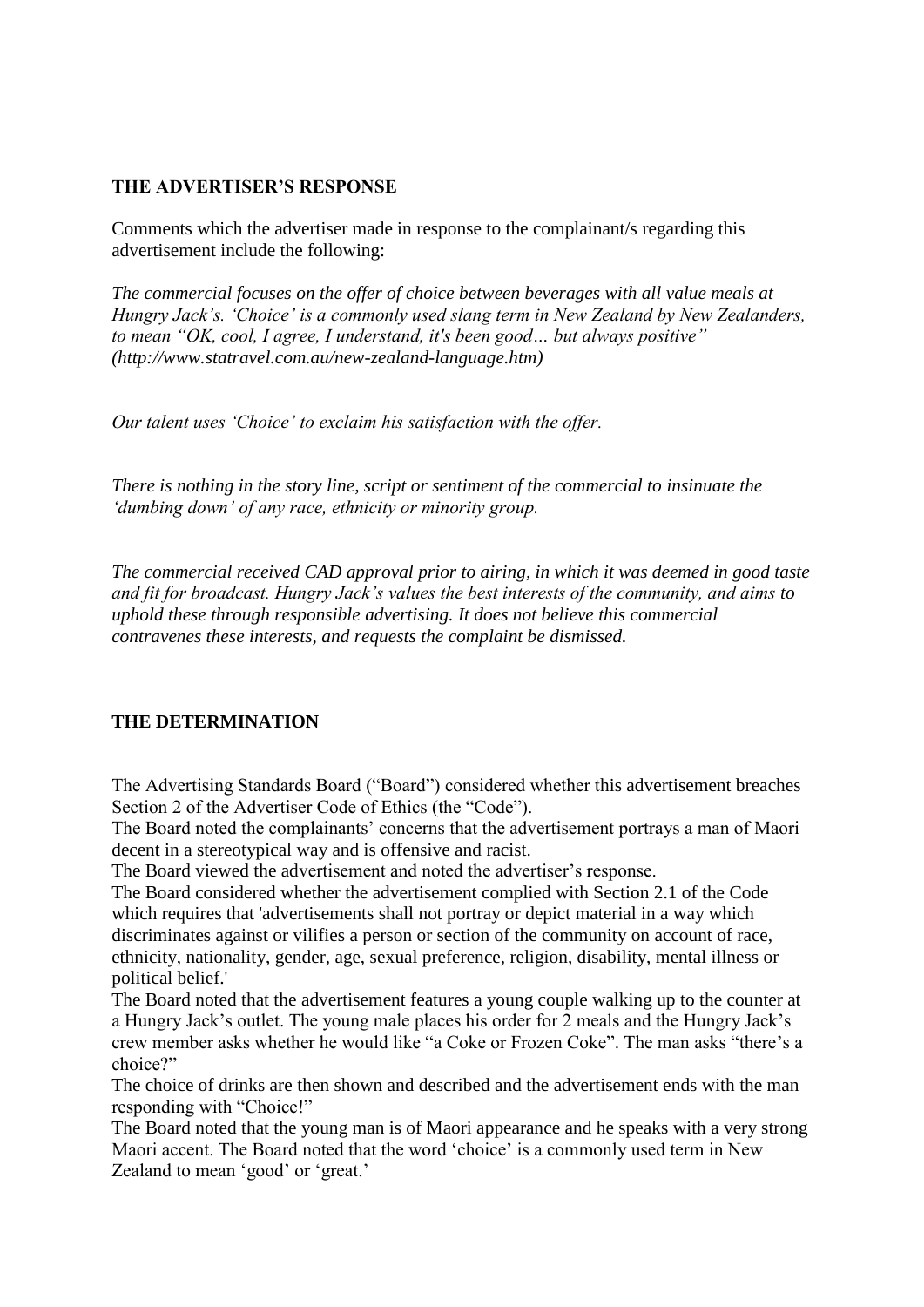## **THE ADVERTISER'S RESPONSE**

Comments which the advertiser made in response to the complainant/s regarding this advertisement include the following:

*The commercial focuses on the offer of choice between beverages with all value meals at Hungry Jack"s. "Choice" is a commonly used slang term in New Zealand by New Zealanders, to mean "OK, cool, I agree, I understand, it's been good… but always positive" (http://www.statravel.com.au/new-zealand-language.htm)*

*Our talent uses "Choice" to exclaim his satisfaction with the offer.*

*There is nothing in the story line, script or sentiment of the commercial to insinuate the "dumbing down" of any race, ethnicity or minority group.* 

*The commercial received CAD approval prior to airing, in which it was deemed in good taste and fit for broadcast. Hungry Jack"s values the best interests of the community, and aims to uphold these through responsible advertising. It does not believe this commercial contravenes these interests, and requests the complaint be dismissed.* 

# **THE DETERMINATION**

The Advertising Standards Board ("Board") considered whether this advertisement breaches Section 2 of the Advertiser Code of Ethics (the "Code").

The Board noted the complainants' concerns that the advertisement portrays a man of Maori decent in a stereotypical way and is offensive and racist.

The Board viewed the advertisement and noted the advertiser"s response.

The Board considered whether the advertisement complied with Section 2.1 of the Code which requires that 'advertisements shall not portray or depict material in a way which discriminates against or vilifies a person or section of the community on account of race, ethnicity, nationality, gender, age, sexual preference, religion, disability, mental illness or political belief.'

The Board noted that the advertisement features a young couple walking up to the counter at a Hungry Jack"s outlet. The young male places his order for 2 meals and the Hungry Jack"s crew member asks whether he would like "a Coke or Frozen Coke". The man asks "there"s a choice?"

The choice of drinks are then shown and described and the advertisement ends with the man responding with "Choice!"

The Board noted that the young man is of Maori appearance and he speaks with a very strong Maori accent. The Board noted that the word "choice" is a commonly used term in New Zealand to mean 'good' or 'great.'